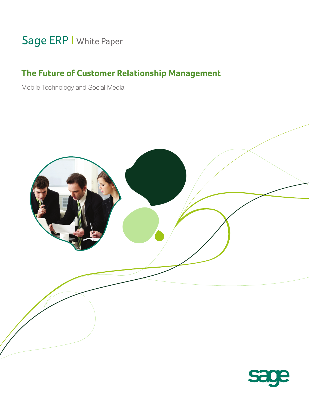# Sage ERP I White Paper

## **The Future of Customer Relationship Management**

Mobile Technology and Social Media



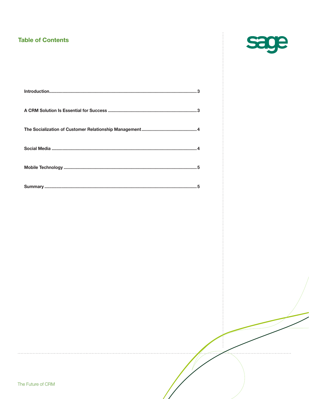#### **Table of Contents**



 $\begin{array}{c} \bullet & \bullet & \bullet \\ \bullet & \bullet & \bullet \\ \bullet & \bullet & \bullet \end{array}$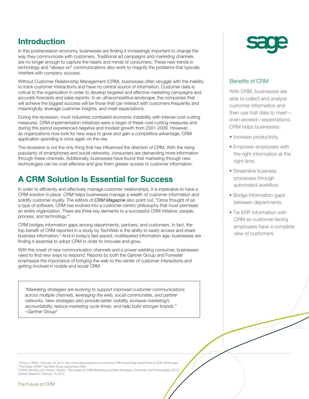## **Introduction**

In this postrecession economy, businesses are finding it increasingly important to change the way they communicate with customers. Traditional ad campaigns and marketing channels are no longer enough to capture the hearts and minds of consumers. These new trends in technology and "always on" communications also work to magnify the problems that typically interfere with company success.

Without Customer Relationship Management (CRM), businesses often struggle with the inability to track customer interactions and have no central source of information. Customer data is critical to the organization in order to develop targeted and effective marketing campaigns and accurate forecasts and sales reports. In an ultracompetitive landscape, the companies that will achieve the biggest success will be those that can interact with customers frequently and meaningfully, leverage customer insights, and meet expectations.

During the recession, most industries combated economic instability with intense cost-cutting measures. CRM implementation initiatives were a target of these cost-cutting measures and during this period experienced negative and modest growth from 2001-2009. However, as organizations now look for new ways to grow and gain a competitive advantage, CRM application spending is once again on the rise.

The recession is not the only thing that has influenced the direction of CRM. With the rising popularity of smartphones and social networks, consumers are demanding more information through these channels. Additionally, businesses have found that marketing through new technologies can be cost-effective and give them greater access to customer information.

#### **A CRM Solution Is Essential for Success**

In order to efficiently and effectively manage customer relationships, it is imperative to have a CRM solution in place. CRM helps businesses manage a wealth of customer information and solidify customer loyalty. The editors of *CRM Magazine* also point out, "Once thought of as a type of software, CRM has evolved into a customer-centric philosophy that must permeate an entire organization. There are three key elements to a successful CRM initiative: people, process, and technology."1

CRM bridges information gaps among departments, partners, and customers. In fact, the top benefit of CRM reported in a study by TechWeb is the ability to easily access and share business information.2 And in today's fast-paced, multilayered information age, businesses are finding it essential to adopt CRM in order to innovate and grow.

With the onset of new communication channels and a power-wielding consumer, businesses need to find new ways to respond. Reports by both the Gartner Group and Forrester emphasize the importance of bringing the web to the center of customer interactions and getting involved in mobile and social CRM.

*"Marketing strategies are evolving to support improved customer communications across multiple channels, leveraging the web, social communities, and partner networks. New strategies also provide better visibility, increase marketing's accountability, reduce marketing cycle times, and help build stronger brands." –Gartner Group3*

#### Benefits of CRM

With CRM, businesses are able to collect and analyze customer information and then use that data to meet even exceed—expectations. CRM helps businesses:

- Increase productivity.
- Empower employees with the right information at the right time.
- Streamline business processes through automated workflow.
- Bridge information gaps between departments.
- Tie ERP information with CRM so customer-facing employees have a complete view of customers.

1 "What is CRM?", February 19, 2010, http://www.destinationcrm.com/Articles/CRM-News/Daily-News/What-Is-CRM-46033.aspx 2 "The State of ERP," TechWeb Study, September 2008. 3 Collins, Kimberly and Desisto, Robert, " Key Issues for CRM Marketing and Sales Strategies, Processes, and Technologies, 2010,"

Gartner Research, February 19, 2010.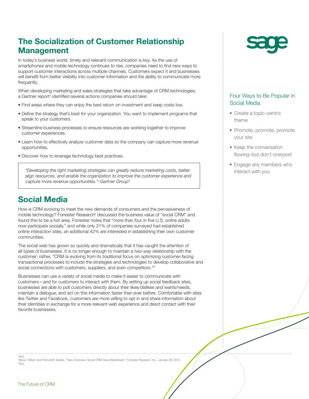## **The Socialization of Customer Relationship Management**

In today's business world, timely and relevant communication is key. As the use of smartphones and mobile technology continues to rise, companies need to find new ways to support customer interactions across multiple channels. Customers expect it and businesses will benefit from better visibility into customer information and the ability to communicate more frequently.

When developing marketing and sales strategies that take advantage of CRM technologies, a Gartner report<sup>4</sup> identified several actions companies should take:

- Find areas where they can enjoy the best return on investment and keep costs low.
- Define the strategy that's best for your organization. You want to implement programs that speak to your customers.
- Streamline business processes to ensure resources are working together to improve customer experiences.
- Learn how to effectively analyze customer data so the company can capture more revenue opportunities.
- Discover how to leverage technology best practices.

*"Developing the right marketing strategies can greatly reduce marketing costs, better align resources, and enable the organization to improve the customer experience and capture more revenue opportunities."–Gartner Group4*

## **Social Media**

How is CRM evolving to meet the new demands of consumers and the pervasiveness of mobile technology? Forrester Research<sup>5</sup> discussed the business value of "social CRM" and found this to be a hot area. Forrester notes that "more than four in five U.S. online adults now participate socially," and while only 21% of companies surveyed had established online interaction sites, an additional 42% are interested in establishing their own customer communities.

The social web has grown so quickly and dramatically that it has caught the attention of all types of businesses. It is no longer enough to maintain a two-way relationship with the customer; rather, "CRM is evolving from its traditional focus on optimizing customer-facing transactional processes to include the strategies and technologies to develop collaborative and social connections with customers, suppliers, and even competitors."<sup>6</sup>

Businesses can use a variety of social media to make it easier to communicate with customers—and for customers to interact with them. By setting up social feedback sites, businesses are able to poll customers directly about their likes/dislikes and wants/needs, maintain a dialogue, and act on this information faster than ever before. Comfortable with sites like Twitter and Facebook, customers are more willing to opt in and share information about their identities in exchange for a more relevant web experience and direct contact with their favorite businesses.

4 Ibid. 5 Band, William and Petouhoff, Natalie, "Topic Overview: Social CRM Goes Mainstream," Forrester Research, Inc., January 26, 2010. *6* Ibid.



#### Four Ways to Be Popular in Social Media

- Create a topic-centric theme
- Promote, promote, promote your site
- Keep the conversation flowing–but don't overpost
- Engage any members who interact with you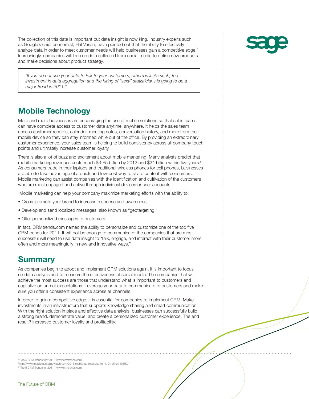The collection of this data is important but data insight is now king. Industry experts such as Google's chief economist, Hal Varian, have pointed out that the ability to effectively analyze data in order to meet customer needs will help businesses gain a competitive edge.7 Increasingly, companies will lean on data collected from social media to define new products and make decisions about product strategy.

*"If you do not use your data to talk to your customers, others will. As such, the investment in data aggregation and the hiring of "sexy" statisticians is going to be a major trend in 2011."*

## **Mobile Technology**

More and more businesses are encouraging the use of mobile solutions so that sales teams can have complete access to customer data anytime, anywhere. It helps the sales team access customer records, calendar, meeting notes, conversation history, and more from their mobile device so they can stay informed while out of the office. By providing an extraordinary customer experience, your sales team is helping to build consistency across all company touch points and ultimately increase customer loyalty.

There is also a lot of buzz and excitement about mobile marketing. Many analysts predict that mobile marketing revenues could reach \$3-\$5 billion by 2012 and \$24 billion within five years.<sup>8</sup> As consumers trade in their laptops and traditional wireless phones for cell phones, businesses are able to take advantage of a quick and low-cost way to share content with consumers. Mobile marketing can assist companies with the identification and cultivation of the customers who are most engaged and active through individual devices or user accounts.

Mobile marketing can help your company maximize marketing efforts with the ability to:

- Cross-promote your brand to increase response and awareness.
- Develop and send localized messages, also known as "geotargeting."
- Offer personalized messages to customers.

In fact, CRMtrends.com named the ability to personalize and customize one of the top five CRM trends for 2011. It will not be enough to communicate; the companies that are most successful will need to use data insight to "talk, engage, and interact with their customer more often and more meaningfully in new and innovative ways."9

#### **Summary**

As companies begin to adopt and implement CRM solutions again, it is important to focus on data analysis and to measure the effectiveness of social media. The companies that will achieve the most success are those that understand what is important to customers and capitalize on unmet expectations. Leverage your data to communicate to customers and make sure you offer a consistent experience across all channels.

In order to gain a competitive edge, it is essential for companies to implement CRM. Make investments in an infrastructure that supports knowledge sharing and smart communication. With the right solution in place and effective data analysis, businesses can successfully build a strong brand, demonstrate value, and create a personalized customer experience. The end result? Increased customer loyalty and profitability.

7 "Top 5 CRM Trends for 2011," www.crmtrends.com

8 http://www.mobilemarketingwatch.com/2015-mobile-ad-revenues-to-hit-24-billion-10690/ 9 "Top 5 CRM Trends for 2011," www.crmtrends.com